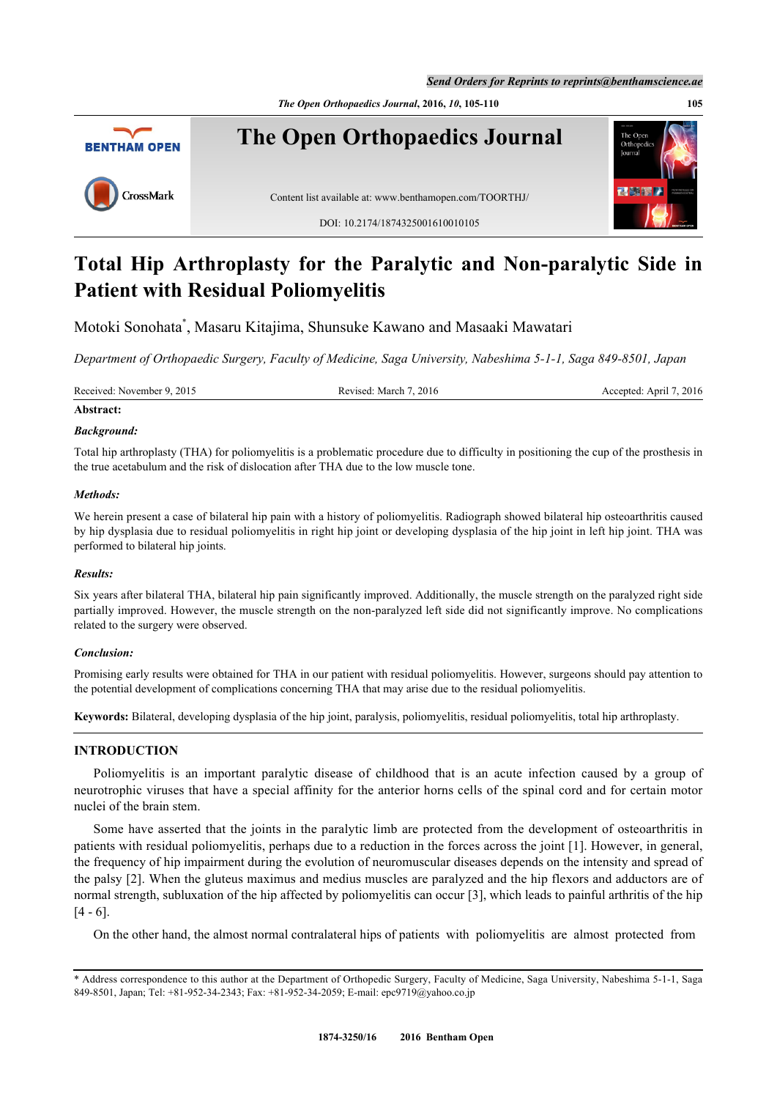*The Open Orthopaedics Journal***, 2016,** *10***, 105-110 105**



# **Total Hip Arthroplasty for the Paralytic and Non-paralytic Side in Patient with Residual Poliomyelitis**

Motoki Sonohata[\\*](#page-0-0) , Masaru Kitajima, Shunsuke Kawano and Masaaki Mawatari

*Department of Orthopaedic Surgery, Faculty of Medicine, Saga University, Nabeshima 5-1-1, Saga 849-8501, Japan*

Received: November 9, 2015 Revised: March 7, 2016 Revised: March 7, 2016 Accepted: April 7, 2016

## **Abstract:**

### *Background:*

Total hip arthroplasty (THA) for poliomyelitis is a problematic procedure due to difficulty in positioning the cup of the prosthesis in the true acetabulum and the risk of dislocation after THA due to the low muscle tone.

### *Methods:*

We herein present a case of bilateral hip pain with a history of poliomyelitis. Radiograph showed bilateral hip osteoarthritis caused by hip dysplasia due to residual poliomyelitis in right hip joint or developing dysplasia of the hip joint in left hip joint. THA was performed to bilateral hip joints.

### *Results:*

Six years after bilateral THA, bilateral hip pain significantly improved. Additionally, the muscle strength on the paralyzed right side partially improved. However, the muscle strength on the non-paralyzed left side did not significantly improve. No complications related to the surgery were observed.

### *Conclusion:*

Promising early results were obtained for THA in our patient with residual poliomyelitis. However, surgeons should pay attention to the potential development of complications concerning THA that may arise due to the residual poliomyelitis.

**Keywords:** Bilateral, developing dysplasia of the hip joint, paralysis, poliomyelitis, residual poliomyelitis, total hip arthroplasty.

### **INTRODUCTION**

Poliomyelitis is an important paralytic disease of childhood that is an acute infection caused by a group of neurotrophic viruses that have a special affinity for the anterior horns cells of the spinal cord and for certain motor nuclei of the brain stem.

Some have asserted that the joints in the paralytic limb are protected from the development of osteoarthritis in patients with residual poliomyelitis, perhaps due to a reduction in the forces across the joint [[1](#page-4-0)]. However, in general, the frequency of hip impairment during the evolution of neuromuscular diseases depends on the intensity and spread of the palsy [\[2](#page-4-1)]. When the gluteus maximus and medius muscles are paralyzed and the hip flexors and adductors are of normal strength, subluxation of the hip affected by poliomyelitis can occur [[3](#page-4-2)], which leads to painful arthritis of the hip [\[4](#page-4-3) - [6](#page-4-4)].

On the other hand, the almost normal contralateral hips of patients with poliomyelitis are almost protected from

<span id="page-0-0"></span><sup>\*</sup> Address correspondence to this author at the Department of Orthopedic Surgery, Faculty of Medicine, Saga University, Nabeshima 5-1-1, Saga 849-8501, Japan; Tel: +81-952-34-2343; Fax: +81-952-34-2059; E-mail: [epc9719@yahoo.co.jp](mailto:epc9719@yahoo.co.jp)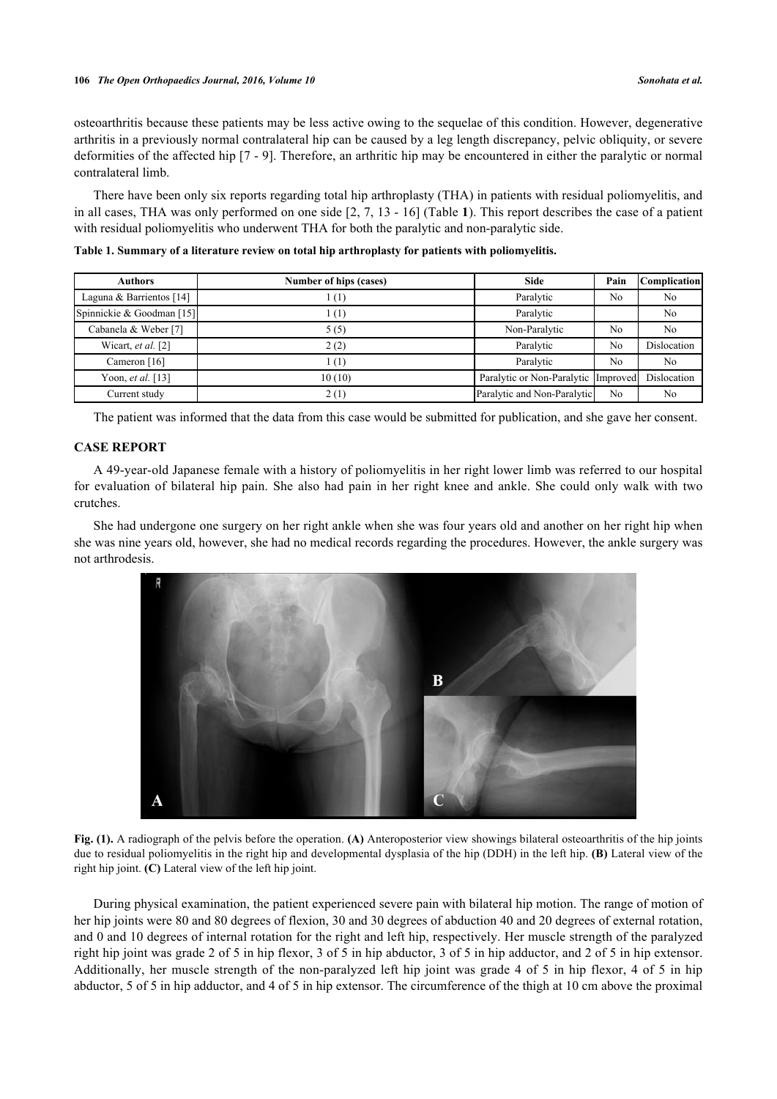osteoarthritis because these patients may be less active owing to the sequelae of this condition. However, degenerative arthritis in a previously normal contralateral hip can be caused by a leg length discrepancy, pelvic obliquity, or severe deformities of the affected hip [[7](#page-4-5) - [9](#page-4-6)]. Therefore, an arthritic hip may be encountered in either the paralytic or normal contralateral limb.

There have been only six reports regarding total hip arthroplasty (THA) in patients with residual poliomyelitis, and in all cases, THA was only performed on one side [\[2,](#page-4-1) [7,](#page-4-5) [13](#page-5-0) - [16\]](#page-5-1) (Table **[1](#page-1-0)**). This report describes the case of a patient with residual poliomyelitis who underwent THA for both the paralytic and non-paralytic side.

| <b>Authors</b>              | Number of hips (cases) | <b>Side</b>                         | Pain           | <b>Complication</b> |
|-----------------------------|------------------------|-------------------------------------|----------------|---------------------|
| Laguna & Barrientos [14]    | (1)                    | Paralytic                           | N <sub>0</sub> | No                  |
| Spinnickie & Goodman [15]   | 1(1)                   | Paralytic                           |                | No                  |
| Cabanela & Weber [7]        | 5(5)                   | Non-Paralytic                       | N <sub>0</sub> | N <sub>0</sub>      |
| Wicart, <i>et al.</i> $[2]$ | 2(2)                   | Paralytic                           | No             | Dislocation         |
| Cameron [16]                | 1(1)                   | Paralytic                           | N <sub>0</sub> | N <sub>0</sub>      |
| Yoon, et al. [13]           | 10(10)                 | Paralytic or Non-Paralytic Improved |                | Dislocation         |
| Current study               | 2(1)                   | Paralytic and Non-Paralytic         | No             | No                  |

<span id="page-1-0"></span>**Table 1. Summary of a literature review on total hip arthroplasty for patients with poliomyelitis.**

The patient was informed that the data from this case would be submitted for publication, and she gave her consent.

### **CASE REPORT**

A 49-year-old Japanese female with a history of poliomyelitis in her right lower limb was referred to our hospital for evaluation of bilateral hip pain. She also had pain in her right knee and ankle. She could only walk with two crutches.

<span id="page-1-1"></span>She had undergone one surgery on her right ankle when she was four years old and another on her right hip when she was nine years old, however, she had no medical records regarding the procedures. However, the ankle surgery was not arthrodesis.



**Fig. (1).** A radiograph of the pelvis before the operation. **(A)** Anteroposterior view showings bilateral osteoarthritis of the hip joints due to residual poliomyelitis in the right hip and developmental dysplasia of the hip (DDH) in the left hip. **(B)** Lateral view of the right hip joint. **(C)** Lateral view of the left hip joint.

During physical examination, the patient experienced severe pain with bilateral hip motion. The range of motion of her hip joints were 80 and 80 degrees of flexion, 30 and 30 degrees of abduction 40 and 20 degrees of external rotation, and 0 and 10 degrees of internal rotation for the right and left hip, respectively. Her muscle strength of the paralyzed right hip joint was grade 2 of 5 in hip flexor, 3 of 5 in hip abductor, 3 of 5 in hip adductor, and 2 of 5 in hip extensor. Additionally, her muscle strength of the non-paralyzed left hip joint was grade 4 of 5 in hip flexor, 4 of 5 in hip abductor, 5 of 5 in hip adductor, and 4 of 5 in hip extensor. The circumference of the thigh at 10 cm above the proximal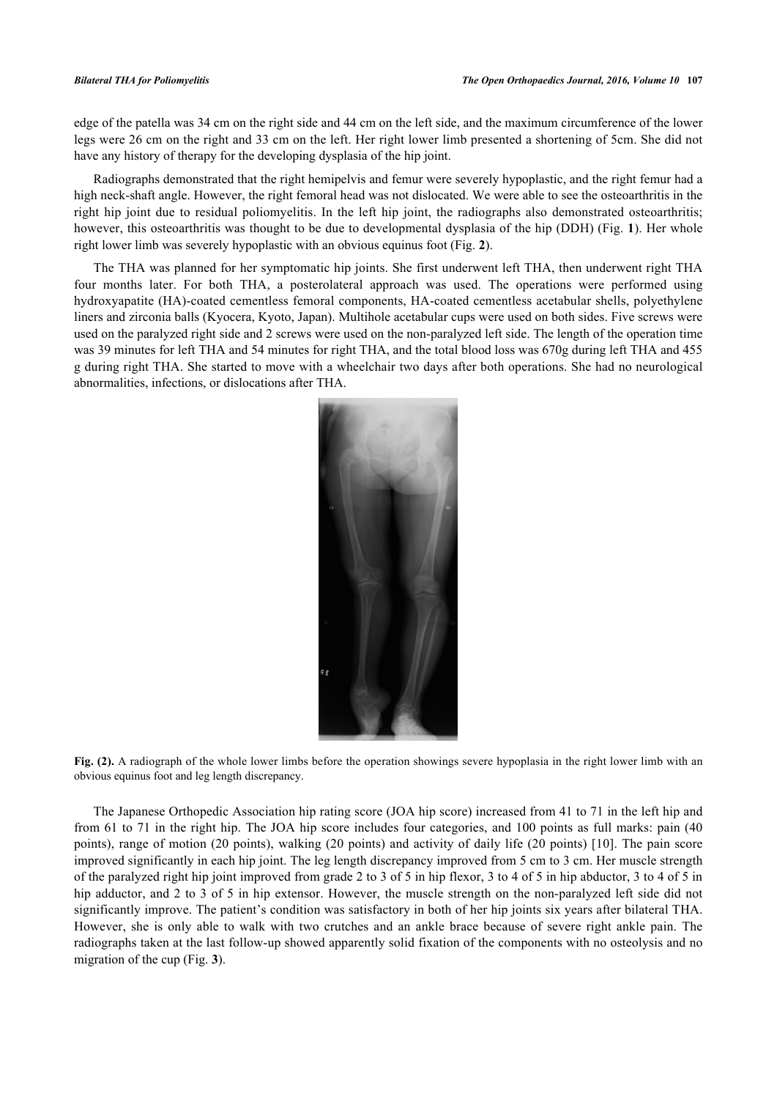edge of the patella was 34 cm on the right side and 44 cm on the left side, and the maximum circumference of the lower legs were 26 cm on the right and 33 cm on the left. Her right lower limb presented a shortening of 5cm. She did not have any history of therapy for the developing dysplasia of the hip joint.

Radiographs demonstrated that the right hemipelvis and femur were severely hypoplastic, and the right femur had a high neck-shaft angle. However, the right femoral head was not dislocated. We were able to see the osteoarthritis in the right hip joint due to residual poliomyelitis. In the left hip joint, the radiographs also demonstrated osteoarthritis; however, this osteoarthritis was thought to be due to developmental dysplasia of the hip (DDH) (Fig. **[1](#page-1-1)**). Her whole right lower limb was severely hypoplastic with an obvious equinus foot (Fig. **[2](#page-2-0)**).

<span id="page-2-0"></span>The THA was planned for her symptomatic hip joints. She first underwent left THA, then underwent right THA four months later. For both THA, a posterolateral approach was used. The operations were performed using hydroxyapatite (HA)-coated cementless femoral components, HA-coated cementless acetabular shells, polyethylene liners and zirconia balls (Kyocera, Kyoto, Japan). Multihole acetabular cups were used on both sides. Five screws were used on the paralyzed right side and 2 screws were used on the non-paralyzed left side. The length of the operation time was 39 minutes for left THA and 54 minutes for right THA, and the total blood loss was 670g during left THA and 455 g during right THA. She started to move with a wheelchair two days after both operations. She had no neurological abnormalities, infections, or dislocations after THA.



**Fig. (2).** A radiograph of the whole lower limbs before the operation showings severe hypoplasia in the right lower limb with an obvious equinus foot and leg length discrepancy.

<span id="page-2-1"></span>The Japanese Orthopedic Association hip rating score (JOA hip score) increased from 41 to 71 in the left hip and from 61 to 71 in the right hip. The JOA hip score includes four categories, and 100 points as full marks: pain (40 points), range of motion (20 points), walking (20 points) and activity of daily life (20 points) [[10](#page-4-7)]. The pain score improved significantly in each hip joint. The leg length discrepancy improved from 5 cm to 3 cm. Her muscle strength of the paralyzed right hip joint improved from grade 2 to 3 of 5 in hip flexor, 3 to 4 of 5 in hip abductor, 3 to 4 of 5 in hip adductor, and 2 to 3 of 5 in hip extensor. However, the muscle strength on the non-paralyzed left side did not significantly improve. The patient's condition was satisfactory in both of her hip joints six years after bilateral THA. However, she is only able to walk with two crutches and an ankle brace because of severe right ankle pain. The radiographs taken at the last follow-up showed apparently solid fixation of the components with no osteolysis and no migration of the cup (Fig. **[3](#page-2-1)**).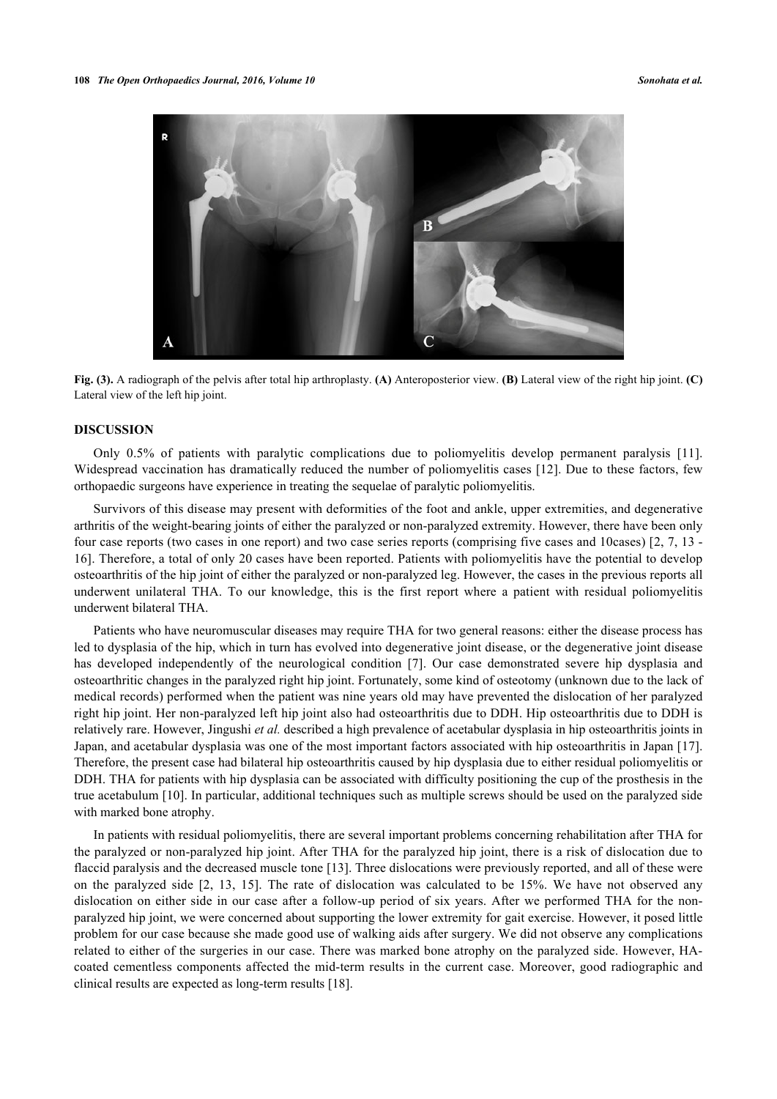

**Fig. (3).** A radiograph of the pelvis after total hip arthroplasty. **(A)** Anteroposterior view. **(B)** Lateral view of the right hip joint. **(C)** Lateral view of the left hip joint.

### **DISCUSSION**

Only 0.5% of patients with paralytic complications due to poliomyelitis develop permanent paralysis [\[11\]](#page-4-8). Widespread vaccination has dramatically reduced the number of poliomyelitis cases [\[12](#page-4-9)]. Due to these factors, few orthopaedic surgeons have experience in treating the sequelae of paralytic poliomyelitis.

Survivors of this disease may present with deformities of the foot and ankle, upper extremities, and degenerative arthritis of the weight-bearing joints of either the paralyzed or non-paralyzed extremity. However, there have been only four case reports (two cases in one report) and two case series reports (comprising five cases and 10cases) [[2](#page-4-1), [7,](#page-4-5) [13](#page-5-0) - [16\]](#page-5-1). Therefore, a total of only 20 cases have been reported. Patients with poliomyelitis have the potential to develop osteoarthritis of the hip joint of either the paralyzed or non-paralyzed leg. However, the cases in the previous reports all underwent unilateral THA. To our knowledge, this is the first report where a patient with residual poliomyelitis underwent bilateral THA.

Patients who have neuromuscular diseases may require THA for two general reasons: either the disease process has led to dysplasia of the hip, which in turn has evolved into degenerative joint disease, or the degenerative joint disease has developed independently of the neurological condition[[7\]](#page-4-5). Our case demonstrated severe hip dysplasia and osteoarthritic changes in the paralyzed right hip joint. Fortunately, some kind of osteotomy (unknown due to the lack of medical records) performed when the patient was nine years old may have prevented the dislocation of her paralyzed right hip joint. Her non-paralyzed left hip joint also had osteoarthritis due to DDH. Hip osteoarthritis due to DDH is relatively rare. However, Jingushi *et al.* described a high prevalence of acetabular dysplasia in hip osteoarthritis joints in Japan, and acetabular dysplasia was one of the most important factors associated with hip osteoarthritis in Japan [[17\]](#page-5-4). Therefore, the present case had bilateral hip osteoarthritis caused by hip dysplasia due to either residual poliomyelitis or DDH. THA for patients with hip dysplasia can be associated with difficulty positioning the cup of the prosthesis in the true acetabulum [[10\]](#page-4-7). In particular, additional techniques such as multiple screws should be used on the paralyzed side with marked bone atrophy.

In patients with residual poliomyelitis, there are several important problems concerning rehabilitation after THA for the paralyzed or non-paralyzed hip joint. After THA for the paralyzed hip joint, there is a risk of dislocation due to flaccid paralysis and the decreased muscle tone [[13\]](#page-5-0). Three dislocations were previously reported, and all of these were on the paralyzed side[[2,](#page-4-1) [13,](#page-5-0) [15\]](#page-5-3). The rate of dislocation was calculated to be 15%. We have not observed any dislocation on either side in our case after a follow-up period of six years. After we performed THA for the nonparalyzed hip joint, we were concerned about supporting the lower extremity for gait exercise. However, it posed little problem for our case because she made good use of walking aids after surgery. We did not observe any complications related to either of the surgeries in our case. There was marked bone atrophy on the paralyzed side. However, HAcoated cementless components affected the mid-term results in the current case. Moreover, good radiographic and clinical results are expected as long-term results [[18\]](#page-5-5).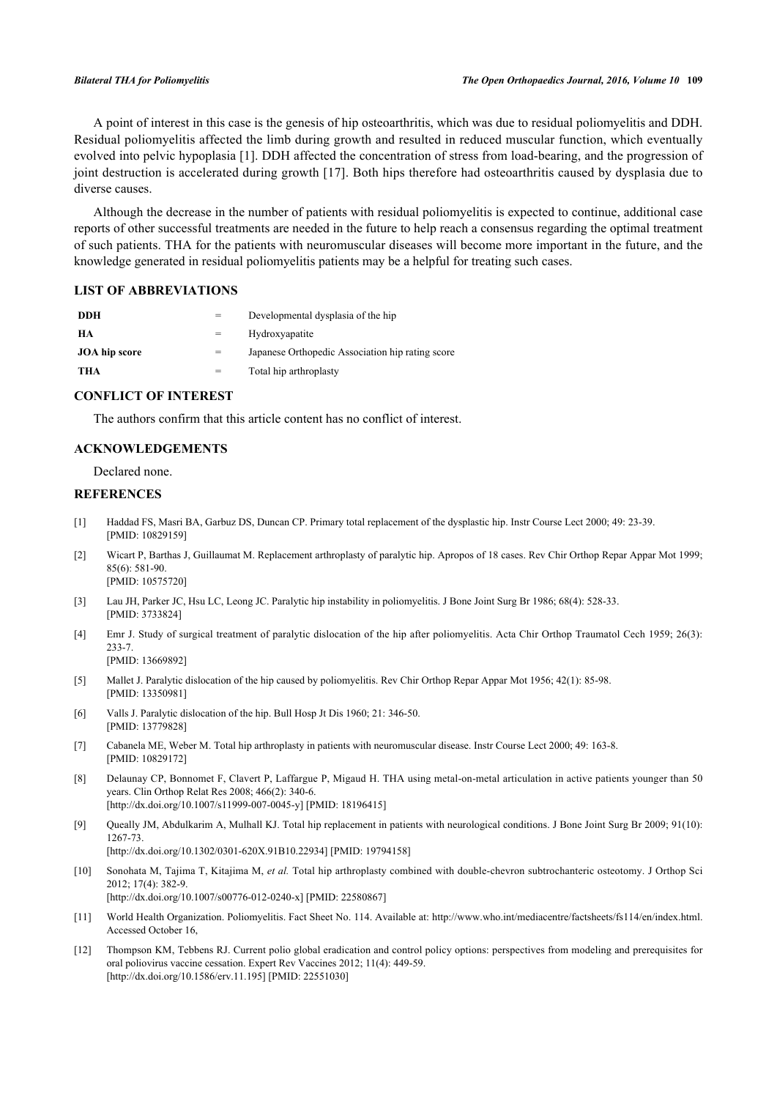A point of interest in this case is the genesis of hip osteoarthritis, which was due to residual poliomyelitis and DDH. Residual poliomyelitis affected the limb during growth and resulted in reduced muscular function, which eventually evolved into pelvic hypoplasia [[1](#page-4-0)]. DDH affected the concentration of stress from load-bearing, and the progression of joint destruction is accelerated during growth [\[17](#page-5-4)]. Both hips therefore had osteoarthritis caused by dysplasia due to diverse causes.

Although the decrease in the number of patients with residual poliomyelitis is expected to continue, additional case reports of other successful treatments are needed in the future to help reach a consensus regarding the optimal treatment of such patients. THA for the patients with neuromuscular diseases will become more important in the future, and the knowledge generated in residual poliomyelitis patients may be a helpful for treating such cases.

### **LIST OF ABBREVIATIONS**

| DDH           |     | Developmental dysplasia of the hip               |
|---------------|-----|--------------------------------------------------|
| HА            |     | Hydroxyapatite                                   |
| JOA hip score | $=$ | Japanese Orthopedic Association hip rating score |
| THA           | $=$ | Total hip arthroplasty                           |

### **CONFLICT OF INTEREST**

The authors confirm that this article content has no conflict of interest.

### **ACKNOWLEDGEMENTS**

Declared none.

### **REFERENCES**

- <span id="page-4-0"></span>[1] Haddad FS, Masri BA, Garbuz DS, Duncan CP. Primary total replacement of the dysplastic hip. Instr Course Lect 2000; 49: 23-39. [PMID: [10829159\]](http://www.ncbi.nlm.nih.gov/pubmed/10829159)
- <span id="page-4-1"></span>[2] Wicart P, Barthas J, Guillaumat M. Replacement arthroplasty of paralytic hip. Apropos of 18 cases. Rev Chir Orthop Repar Appar Mot 1999; 85(6): 581-90. [PMID: [10575720\]](http://www.ncbi.nlm.nih.gov/pubmed/10575720)
- <span id="page-4-2"></span>[3] Lau JH, Parker JC, Hsu LC, Leong JC. Paralytic hip instability in poliomyelitis. J Bone Joint Surg Br 1986; 68(4): 528-33. [PMID: [3733824\]](http://www.ncbi.nlm.nih.gov/pubmed/3733824)
- <span id="page-4-3"></span>[4] Emr J. Study of surgical treatment of paralytic dislocation of the hip after poliomyelitis. Acta Chir Orthop Traumatol Cech 1959; 26(3): 233-7.

[PMID: [13669892\]](http://www.ncbi.nlm.nih.gov/pubmed/13669892)

- [5] Mallet J. Paralytic dislocation of the hip caused by poliomyelitis. Rev Chir Orthop Repar Appar Mot 1956; 42(1): 85-98. [PMID: [13350981\]](http://www.ncbi.nlm.nih.gov/pubmed/13350981)
- <span id="page-4-4"></span>[6] Valls J. Paralytic dislocation of the hip. Bull Hosp Jt Dis 1960; 21: 346-50. [PMID: [13779828\]](http://www.ncbi.nlm.nih.gov/pubmed/13779828)
- <span id="page-4-5"></span>[7] Cabanela ME, Weber M. Total hip arthroplasty in patients with neuromuscular disease. Instr Course Lect 2000; 49: 163-8. [PMID: [10829172\]](http://www.ncbi.nlm.nih.gov/pubmed/10829172)
- [8] Delaunay CP, Bonnomet F, Clavert P, Laffargue P, Migaud H. THA using metal-on-metal articulation in active patients younger than 50 years. Clin Orthop Relat Res 2008; 466(2): 340-6. [\[http://dx.doi.org/10.1007/s11999-007-0045-y\]](http://dx.doi.org/10.1007/s11999-007-0045-y) [PMID: [18196415](http://www.ncbi.nlm.nih.gov/pubmed/18196415)]
- <span id="page-4-6"></span>[9] Queally JM, Abdulkarim A, Mulhall KJ. Total hip replacement in patients with neurological conditions. J Bone Joint Surg Br 2009; 91(10): 1267-73. [\[http://dx.doi.org/10.1302/0301-620X.91B10.22934\]](http://dx.doi.org/10.1302/0301-620X.91B10.22934) [PMID: [19794158](http://www.ncbi.nlm.nih.gov/pubmed/19794158)]
- <span id="page-4-7"></span>[10] Sonohata M, Tajima T, Kitajima M, *et al.* Total hip arthroplasty combined with double-chevron subtrochanteric osteotomy. J Orthop Sci 2012; 17(4): 382-9.

[\[http://dx.doi.org/10.1007/s00776-012-0240-x\]](http://dx.doi.org/10.1007/s00776-012-0240-x) [PMID: [22580867](http://www.ncbi.nlm.nih.gov/pubmed/22580867)]

- <span id="page-4-8"></span>[11] World Health Organization. Poliomyelitis. Fact Sheet No. 114. Available at:<http://www.who.int/mediacentre/factsheets/fs114/en/index.html.> Accessed October 16,
- <span id="page-4-9"></span>[12] Thompson KM, Tebbens RJ. Current polio global eradication and control policy options: perspectives from modeling and prerequisites for oral poliovirus vaccine cessation. Expert Rev Vaccines 2012; 11(4): 449-59. [\[http://dx.doi.org/10.1586/erv.11.195](http://dx.doi.org/10.1586/erv.11.195)] [PMID: [22551030\]](http://www.ncbi.nlm.nih.gov/pubmed/22551030)